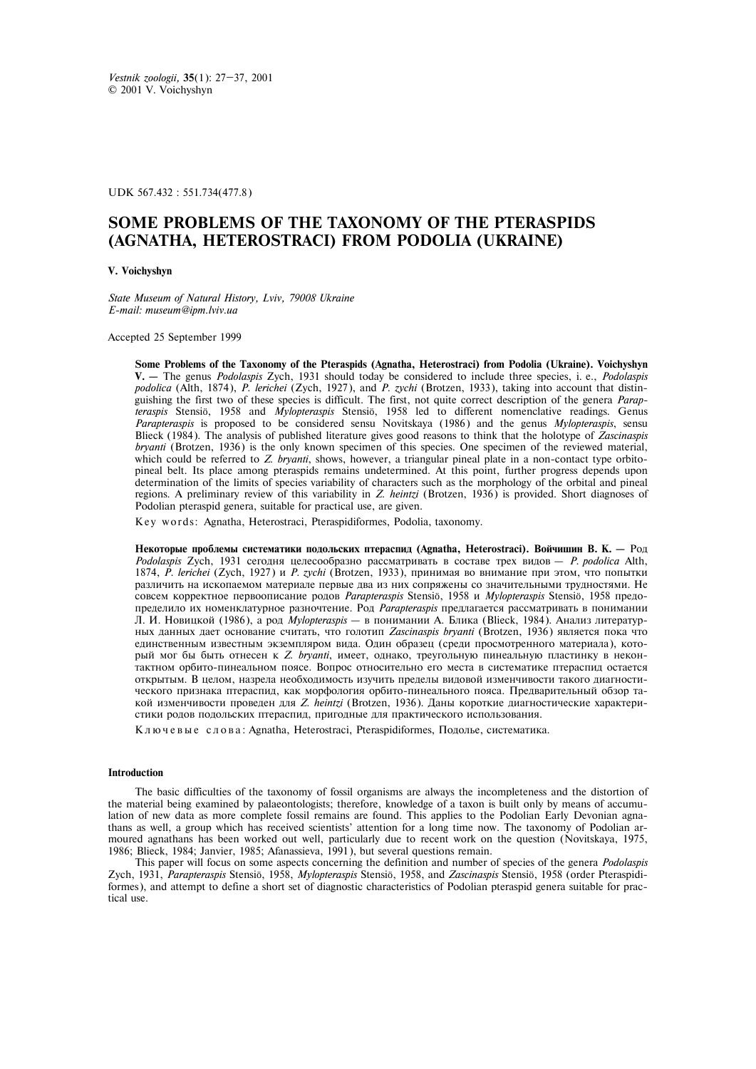UDK 567.432 : 551.734(477.8)

# **SOME PROBLEMS OF THE TAXONOMY OF THE PTERASPIDS (AGNATHA, HETEROSTRACI) FROM PODOLIA (UKRAINE)**

#### **V. Voichyshyn**

*State Museum of Natural History, Lviv, 79008 Ukraine E-mail: museum@ipm.lviv.ua* 

Accepted 25 September 1999

**Some Problems of the Taxonomy of the Pteraspids (Agnatha, Heterostraci) from Podolia (Ukraine). Voichyshyn V. –** The genus *Podolaspis* Zych, 1931 should today be considered to include three species, i. e., *Podolaspis podolica* (Alth, 1874), *P. lerichei* (Zych, 1927), and *P. zychi* (Brotzen, 1933), taking into account that distinguishing the first two of these species is difficult. The first, not quite correct description of the genera *Parapteraspis* Stensiö, 1958 and *Mylopteraspis* Stensiö, 1958 led to different nomenclative readings. Genus *Parapteraspis* is proposed to be considered sensu Novitskaya (1986) and the genus *Mylopteraspis*, sensu Blieck (1984). The analysis of published literature gives good reasons to think that the holotype of *Zascinaspis bryanti* (Brotzen, 1936) is the only known specimen of this species. One specimen of the reviewed material, which could be referred to *Z. bryanti*, shows, however, a triangular pineal plate in a non-contact type orbitopineal belt. Its place among pteraspids remains undetermined. At this point, further progress depends upon determination of the limits of species variability of characters such as the morphology of the orbital and pineal regions. A preliminary review of this variability in *Z. heintzi* (Brotzen, 1936) is provided. Short diagnoses of Podolian pteraspid genera, suitable for practical use, are given.

Key words: Agnatha, Heterostraci, Pteraspidiformes, Podolia, taxonomy.

Некоторые проблемы систематики подольских птераспид (Agnatha, Heterostraci). Войчишин В. К. – Род *Podolaspis* Zych, 1931 сегодня целесообразно рассматривать в составе трех видов - *P. podolica* Alth, 1874, *P. lerichei* (Zych, 1927) и *P. zychi* (Brotzen, 1933), принимая во внимание при этом, что попытки различить на ископаемом материале первые два из них сопряжены со значительными трудностями. Не совсем корректное первоописание родов Parapteraspis Stensiö, 1958 и Mylopteraspis Stensiö, 1958 предопределило их номенклатурное разночтение. Род Parapteraspis предлагается рассматривать в понимании Л. И. Новицкой (1986), а род *Mylopteraspis* — в понимании А. Блика (Blieck, 1984). Анализ литературных данных дает основание считать, что голотип Zascinaspis bryanti (Brotzen, 1936) является пока что единственным известным экземпляром вида. Один образец (среди просмотренного материала), который мог бы быть отнесен к *Z. bryanti*, имеет, однако, треугольную пинеальную пластинку в неконтактном орбито-пинеальном поясе. Вопрос относительно его места в систематике птераспид остается открытым. В целом, назрела необходимость изучить пределы видовой изменчивости такого диагностического признака птераспид, как морфология орбито-пинеального пояса. Предварительный обзор такой изменчивости проведен для *Z. heintzi* (Brotzen, 1936). Даны короткие диагностические характеристики родов подольских птераспид, пригодные для практического использования.

Ключевые слова: Agnatha, Heterostraci, Pteraspidiformes, Подолье, систематика.

#### **Introduction**

The basic difficulties of the taxonomy of fossil organisms are always the incompleteness and the distortion of the material being examined by palaeontologists; therefore, knowledge of a taxon is built only by means of accumulation of new data as more complete fossil remains are found. This applies to the Podolian Early Devonian agnathans as well, a group which has received scientists' attention for a long time now. The taxonomy of Podolian armoured agnathans has been worked out well, particularly due to recent work on the question (Novitskaya, 1975, 1986; Blieck, 1984; Janvier, 1985; Afanassieva, 1991), but several questions remain.

This paper will focus on some aspects concerning the definition and number of species of the genera *Podolaspis* Zych, 1931, *Parapteraspis* Stensiö, 1958, *Mylopteraspis* Stensiö, 1958, and *Zascinaspis* Stensiö, 1958 (order Pteraspidiformes), and attempt to define a short set of diagnostic characteristics of Podolian pteraspid genera suitable for practical use.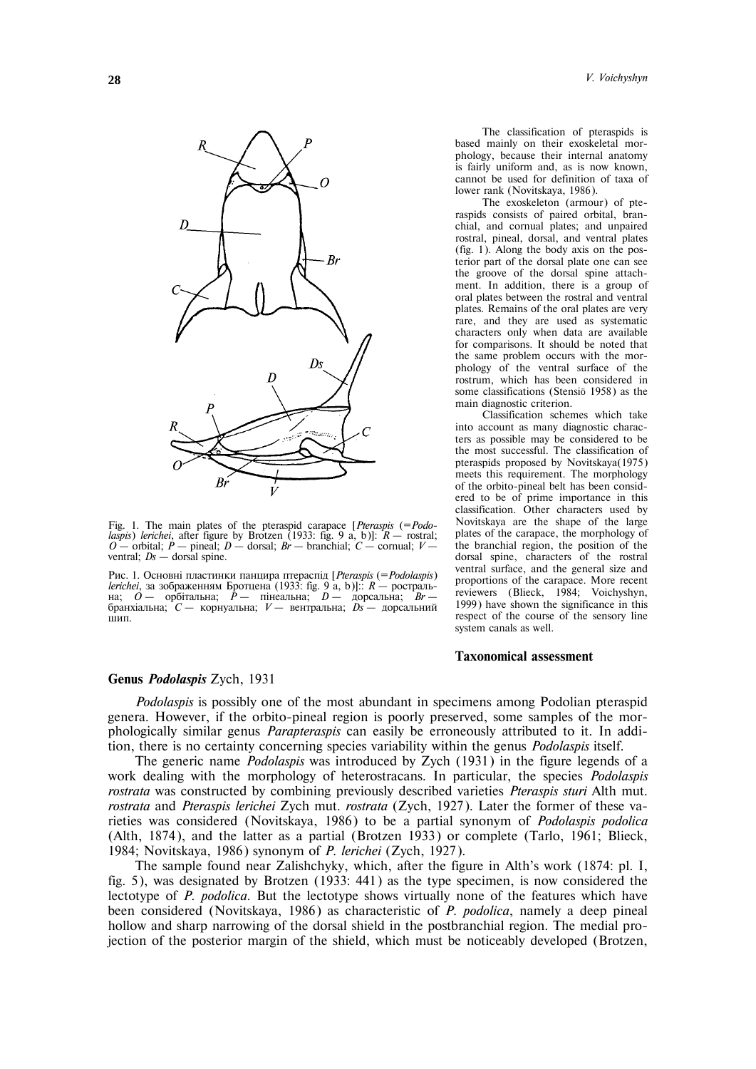

Fig. 1. The main plates of the pteraspid carapace [*Pteraspis* (=*Podolaspis*) *lerichei*, after figure by Brotzen (1933: fig. 9 a, b)]: *R* – rostral; *O* – orbital; *P* – pineal; *D* – dorsal; *Br* – branchial; *C* – cornual; *V* – ventral; *Ds* – dorsal spine.

Рис. 1. Основні пластинки панцира птераспід [*Pteraspis* (= *Podolaspis*) *lerichei*, за зображенням Бротцена (1933: fig. 9 a, b)]:: *R* – ростральна; *O* – орбітальна; *P* – пінеальна; *D* – дорсальна; *Br* – бранхіальна; *C* – корнуальна; *V* – вентральна; *Ds* – дорсальний  $\overline{III}$ ип.

The classification of pteraspids is based mainly on their exoskeletal morphology, because their internal anatomy is fairly uniform and, as is now known, cannot be used for definition of taxa of lower rank (Novitskaya, 1986).

The exoskeleton (armour) of pteraspids consists of paired orbital, branchial, and cornual plates; and unpaired rostral, pineal, dorsal, and ventral plates (fig. 1). Along the body axis on the posterior part of the dorsal plate one can see the groove of the dorsal spine attachment. In addition, there is a group of oral plates between the rostral and ventral plates. Remains of the oral plates are very rare, and they are used as systematic characters only when data are available for comparisons. It should be noted that the same problem occurs with the morphology of the ventral surface of the rostrum, which has been considered in some classifications (Stensiö 1958) as the main diagnostic criterion.

Classification schemes which take into account as many diagnostic characters as possible may be considered to be the most successful. The classification of pteraspids proposed by Novitskaya(1975) meets this requirement. The morphology of the orbito-pineal belt has been considered to be of prime importance in this classification. Other characters used by Novitskaya are the shape of the large plates of the carapace, the morphology of the branchial region, the position of the dorsal spine, characters of the rostral ventral surface, and the general size and proportions of the carapace. More recent reviewers (Blieck, 1984; Voichyshyn, 1999) have shown the significance in this respect of the course of the sensory line system canals as well.

### **Taxonomical assessment**

#### **Genus** *Podolaspis* Zych, 1931

*Podolaspis* is possibly one of the most abundant in specimens among Podolian pteraspid genera. However, if the orbito-pineal region is poorly preserved, some samples of the morphologically similar genus *Parapteraspis* can easily be erroneously attributed to it. In addition, there is no certainty concerning species variability within the genus *Podolaspis* itself.

The generic name *Podolaspis* was introduced by Zych (1931) in the figure legends of a work dealing with the morphology of heterostracans. In particular, the species *Podolaspis rostrata* was constructed by combining previously described varieties *Pteraspis sturi* Alth mut. *rostrata* and *Pteraspis lerichei* Zych mut. *rostrata* (Zych, 1927). Later the former of these varieties was considered (Novitskaya, 1986) to be a partial synonym of *Podolaspis podolica* (Alth, 1874), and the latter as a partial (Brotzen 1933) or complete (Tarlo, 1961; Blieck, 1984; Novitskaya, 1986) synonym of *P. lerichei* (Zych, 1927).

The sample found near Zalishchyky, which, after the figure in Alth's work (1874: pl. I, fig. 5), was designated by Brotzen (1933: 441) as the type specimen, is now considered the lectotype of *P. podolica*. But the lectotype shows virtually none of the features which have been considered (Novitskaya, 1986) as characteristic of *P. podolica*, namely a deep pineal hollow and sharp narrowing of the dorsal shield in the postbranchial region. The medial projection of the posterior margin of the shield, which must be noticeably developed (Brotzen,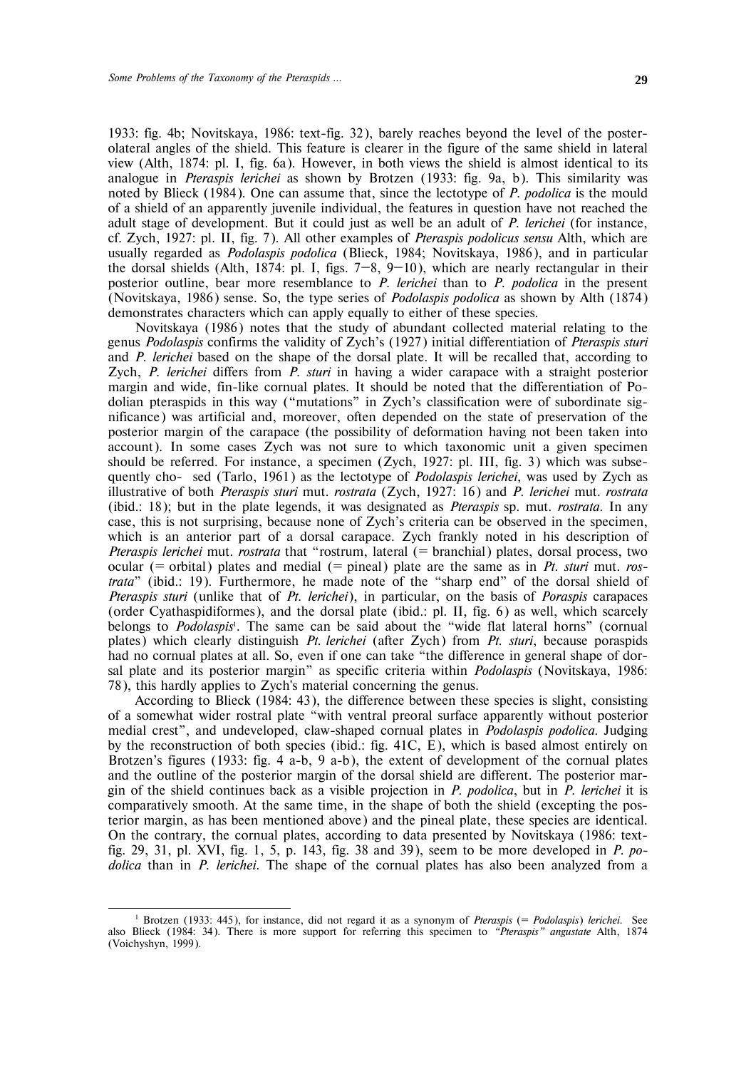1933: fig. 4b; Novitskaya, 1986: text-fig. 32), barely reaches beyond the level of the posterolateral angles of the shield. This feature is clearer in the figure of the same shield in lateral view (Alth, 1874: pl. I, fig. 6a). However, in both views the shield is almost identical to its analogue in *Pteraspis lerichei* as shown by Brotzen (1933: fig. 9a, b). This similarity was noted by Blieck (1984). One can assume that, since the lectotype of *P. podolica* is the mould of a shield of an apparently juvenile individual, the features in question have not reached the adult stage of development. But it could just as well be an adult of *P. lerichei* (for instance, cf. Zych, 1927: pl. II, fig. 7). All other examples of *Pteraspis podolicus sensu* Alth, which are usually regarded as *Podolaspis podolica* (Blieck, 1984; Novitskaya, 1986), and in particular the dorsal shields (Alth, 1874: pl. I, figs.  $7-8$ ,  $9-10$ ), which are nearly rectangular in their posterior outline, bear more resemblance to *P. lerichei* than to *P. podolica* in the present (Novitskaya, 1986) sense. So, the type series of *Podolaspis podolica* as shown by Alth (1874) demonstrates characters which can apply equally to either of these species.

Novitskaya (1986) notes that the study of abundant collected material relating to the genus *Podolaspis* confirms the validity of Zych's (1927) initial differentiation of *Pteraspis sturi* and *P. lerichei* based on the shape of the dorsal plate. It will be recalled that, according to Zych, *P. lerichei* differs from *P. sturi* in having a wider carapace with a straight posterior margin and wide, fin-like cornual plates. It should be noted that the differentiation of Podolian pteraspids in this way ("mutations" in Zych's classification were of subordinate significance) was artificial and, moreover, often depended on the state of preservation of the posterior margin of the carapace (the possibility of deformation having not been taken into account). In some cases Zych was not sure to which taxonomic unit a given specimen should be referred. For instance, a specimen (Zych, 1927: pl. III, fig. 3) which was subsequently cho- sed (Tarlo, 1961) as the lectotype of *Podolaspis lerichei*, was used by Zych as illustrative of both *Pteraspis sturi* mut. *rostrata* (Zych, 1927: 16) and *P. lerichei* mut. *rostrata* (ibid.: 18); but in the plate legends, it was designated as *Pteraspis* sp. mut. *rostrata*. In any case, this is not surprising, because none of Zych's criteria can be observed in the specimen, which is an anterior part of a dorsal carapace. Zych frankly noted in his description of *Pteraspis lerichei* mut. *rostrata* that "rostrum, lateral (= branchial) plates, dorsal process, two ocular (= orbital) plates and medial (= pineal) plate are the same as in *Pt. sturi* mut. *rostrata*" (ibid.: 19). Furthermore, he made note of the "sharp end" of the dorsal shield of *Pteraspis sturi* (unlike that of *Pt. lerichei*), in particular, on the basis of *Poraspis* carapaces (order Cyathaspidiformes), and the dorsal plate (ibid.: pl. II, fig. 6) as well, which scarcely belongs to *Podolaspis*<sup>1</sup> . The same can be said about the "wide flat lateral horns" (cornual plates) which clearly distinguish *Pt. lerichei* (after Zych) from *Pt. sturi*, because poraspids had no cornual plates at all. So, even if one can take "the difference in general shape of dorsal plate and its posterior margin" as specific criteria within *Podolaspis* (Novitskaya, 1986: 78), this hardly applies to Zych's material concerning the genus.

According to Blieck (1984: 43), the difference between these species is slight, consisting of a somewhat wider rostral plate "with ventral preoral surface apparently without posterior medial crest", and undeveloped, claw-shaped cornual plates in *Podolaspis podolica*. Judging by the reconstruction of both species (ibid.: fig.  $41C$ , E), which is based almost entirely on Brotzen's figures (1933: fig. 4 a-b, 9 a-b), the extent of development of the cornual plates and the outline of the posterior margin of the dorsal shield are different. The posterior margin of the shield continues back as a visible projection in *P. podolica*, but in *P. lerichei* it is comparatively smooth. At the same time, in the shape of both the shield (excepting the posterior margin, as has been mentioned above) and the pineal plate, these species are identical. On the contrary, the cornual plates, according to data presented by Novitskaya (1986: textfig. 29, 31, pl. XVI, fig. 1, 5, p. 143, fig. 38 and 39), seem to be more developed in *P. podolica* than in *P. lerichei*. The shape of the cornual plates has also been analyzed from a

-

<sup>1</sup> Brotzen (1933: 445), for instance, did not regard it as a synonym of *Pteraspis* (= *Podolaspis*) *lerichei*. See also Blieck (1984: 34). There is more support for referring this specimen to *"Pteraspis" angustate* Alth, 1874 (Voichyshyn, 1999).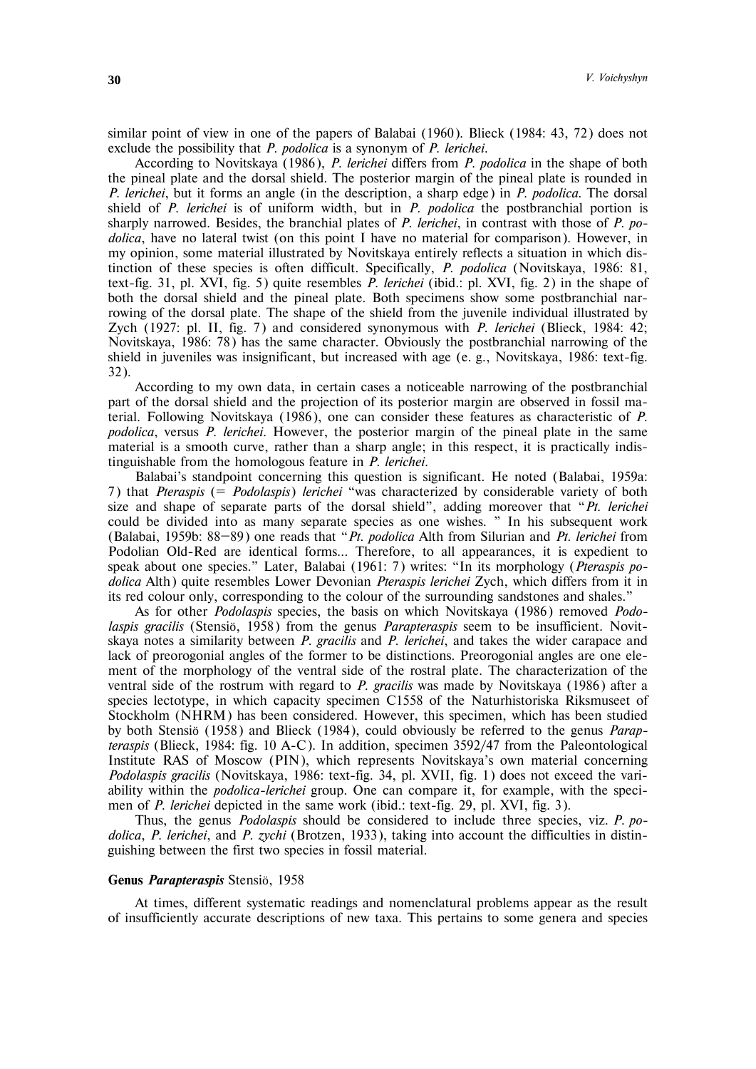similar point of view in one of the papers of Balabai (1960). Blieck (1984: 43, 72) does not exclude the possibility that *P. podolica* is a synonym of *P. lerichei*.

According to Novitskaya (1986), *P. lerichei* differs from *P. podolica* in the shape of both the pineal plate and the dorsal shield. The posterior margin of the pineal plate is rounded in *P. lerichei*, but it forms an angle (in the description, a sharp edge) in *P. podolica*. The dorsal shield of *P. lerichei* is of uniform width, but in *P. podolica* the postbranchial portion is sharply narrowed. Besides, the branchial plates of *P. lerichei*, in contrast with those of *P. podolica*, have no lateral twist (on this point I have no material for comparison). However, in my opinion, some material illustrated by Novitskaya entirely reflects a situation in which distinction of these species is often difficult. Specifically, *P. podolica* (Novitskaya, 1986: 81, text-fig. 31, pl. XVI, fig. 5) quite resembles *P. lerichei* (ibid.: pl. XVI, fig. 2) in the shape of both the dorsal shield and the pineal plate. Both specimens show some postbranchial narrowing of the dorsal plate. The shape of the shield from the juvenile individual illustrated by Zych (1927: pl. II, fig. 7) and considered synonymous with *P. lerichei* (Blieck, 1984: 42; Novitskaya, 1986: 78) has the same character. Obviously the postbranchial narrowing of the shield in juveniles was insignificant, but increased with age (e. g., Novitskaya, 1986: text-fig. 32).

According to my own data, in certain cases a noticeable narrowing of the postbranchial part of the dorsal shield and the projection of its posterior margin are observed in fossil material. Following Novitskaya (1986), one can consider these features as characteristic of *P. podolica*, versus *P. lerichei*. However, the posterior margin of the pineal plate in the same material is a smooth curve, rather than a sharp angle; in this respect, it is practically indistinguishable from the homologous feature in *P. lerichei*.

Balabai's standpoint concerning this question is significant. He noted (Balabai, 1959a: 7) that *Pteraspis* (= *Podolaspis*) *lerichei* "was characterized by considerable variety of both size and shape of separate parts of the dorsal shield", adding moreover that "*Pt. lerichei* could be divided into as many separate species as one wishes. " In his subsequent work (Balabai, 1959b: 88—89) one reads that "*Pt. podolica* Alth from Silurian and *Pt. lerichei* from Podolian Old-Red are identical forms… Therefore, to all appearances, it is expedient to speak about one species." Later, Balabai (1961: 7) writes: "In its morphology (*Pteraspis podolica* Alth) quite resembles Lower Devonian *Pteraspis lerichei* Zych, which differs from it in its red colour only, corresponding to the colour of the surrounding sandstones and shales."

As for other *Podolaspis* species, the basis on which Novitskaya (1986) removed *Podolaspis gracilis* (Stensiö, 1958) from the genus *Parapteraspis* seem to be insufficient. Novitskaya notes a similarity between *P. gracilis* and *P. lerichei*, and takes the wider carapace and lack of preorogonial angles of the former to be distinctions. Preorogonial angles are one element of the morphology of the ventral side of the rostral plate. The characterization of the ventral side of the rostrum with regard to *P. gracilis* was made by Novitskaya (1986) after a species lectotype, in which capacity specimen C1558 of the Naturhistoriska Riksmuseet of Stockholm (NHRM) has been considered. However, this specimen, which has been studied by both Stensiö (1958) and Blieck (1984), could obviously be referred to the genus *Parapteraspis* (Blieck, 1984: fig. 10 A-C). In addition, specimen 3592/47 from the Paleontological Institute RAS of Moscow (PIN), which represents Novitskaya's own material concerning *Podolaspis gracilis* (Novitskaya, 1986: text-fig. 34, pl. XVII, fig. 1) does not exceed the variability within the *podolica-lerichei* group. One can compare it, for example, with the specimen of *P. lerichei* depicted in the same work (ibid.: text-fig. 29, pl. XVI, fig. 3).

Thus, the genus *Podolaspis* should be considered to include three species, viz. *P. podolica*, *P. lerichei*, and *P. zychi* (Brotzen, 1933), taking into account the difficulties in distinguishing between the first two species in fossil material.

## **Genus** *Parapteraspis* Stensiö, 1958

At times, different systematic readings and nomenclatural problems appear as the result of insufficiently accurate descriptions of new taxa. This pertains to some genera and species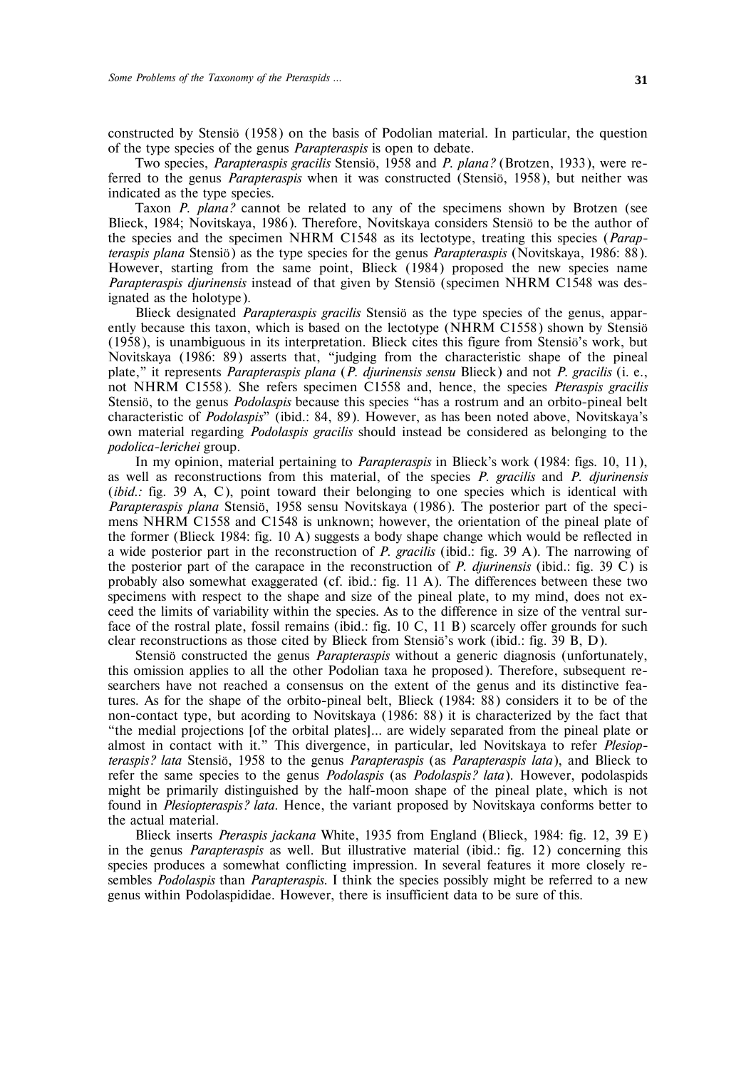constructed by Stensiö (1958) on the basis of Podolian material. In particular, the question of the type species of the genus *Parapteraspis* is open to debate.

Two species, *Parapteraspis gracilis* Stensiö, 1958 and *P. plana?* (Brotzen, 1933), were referred to the genus *Parapteraspis* when it was constructed (Stensiö, 1958), but neither was indicated as the type species.

Taxon *P. plana?* cannot be related to any of the specimens shown by Brotzen (see Blieck, 1984; Novitskaya, 1986). Therefore, Novitskaya considers Stensiö to be the author of the species and the specimen NHRM C1548 as its lectotype, treating this species (*Parapteraspis plana* Stensiö) as the type species for the genus *Parapteraspis* (Novitskaya, 1986: 88). However, starting from the same point, Blieck (1984) proposed the new species name *Parapteraspis djurinensis* instead of that given by Stensiö (specimen NHRM C1548 was designated as the holotype).

Blieck designated *Parapteraspis gracilis* Stensiö as the type species of the genus, apparently because this taxon, which is based on the lectotype (NHRM C1558) shown by Stensiö (1958), is unambiguous in its interpretation. Blieck cites this figure from Stensiö's work, but Novitskaya (1986: 89) asserts that, "judging from the characteristic shape of the pineal plate," it represents *Parapteraspis plana* (*P. djurinensis sensu* Blieck) and not *P. gracilis* (i. e., not NHRM C1558). She refers specimen C1558 and, hence, the species *Pteraspis gracilis* Stensiö, to the genus *Podolaspis* because this species "has a rostrum and an orbito-pineal belt characteristic of *Podolaspis*" (ibid.: 84, 89). However, as has been noted above, Novitskaya's own material regarding *Podolaspis gracilis* should instead be considered as belonging to the *podolica-lerichei* group.

In my opinion, material pertaining to *Parapteraspis* in Blieck's work (1984: figs. 10, 11), as well as reconstructions from this material, of the species *P. gracilis* and *P. djurinensis* (*ibid.*: fig. 39 A, C), point toward their belonging to one species which is identical with *Parapteraspis plana* Stensiö, 1958 sensu Novitskaya (1986). The posterior part of the specimens NHRM C1558 and C1548 is unknown; however, the orientation of the pineal plate of the former (Blieck 1984: fig. 10 A) suggests a body shape change which would be reflected in a wide posterior part in the reconstruction of *P. gracilis* (ibid.: fig. 39 A). The narrowing of the posterior part of the carapace in the reconstruction of *P. djurinensis* (ibid.: fig. 39 C) is probably also somewhat exaggerated (cf. ibid.: fig. 11 A). The differences between these two specimens with respect to the shape and size of the pineal plate, to my mind, does not exceed the limits of variability within the species. As to the difference in size of the ventral surface of the rostral plate, fossil remains (ibid.: fig. 10 C, 11 B) scarcely offer grounds for such clear reconstructions as those cited by Blieck from Stensiö's work (ibid.: fig. 39 B, D).

Stensiö constructed the genus *Parapteraspis* without a generic diagnosis (unfortunately, this omission applies to all the other Podolian taxa he proposed). Therefore, subsequent researchers have not reached a consensus on the extent of the genus and its distinctive features. As for the shape of the orbito-pineal belt, Blieck (1984: 88) considers it to be of the non-contact type, but acording to Novitskaya (1986: 88) it is characterized by the fact that "the medial projections [of the orbital plates]… are widely separated from the pineal plate or almost in contact with it." This divergence, in particular, led Novitskaya to refer *Plesiopteraspis? lata* Stensiö, 1958 to the genus *Parapteraspis* (as *Parapteraspis lata*), and Blieck to refer the same species to the genus *Podolaspis* (as *Podolaspis? lata*). However, podolaspids might be primarily distinguished by the half-moon shape of the pineal plate, which is not found in *Plesiopteraspis? lata*. Hence, the variant proposed by Novitskaya conforms better to the actual material.

Blieck inserts *Pteraspis jackana* White, 1935 from England (Blieck, 1984: fig. 12, 39 E) in the genus *Parapteraspis* as well. But illustrative material (ibid.: fig. 12) concerning this species produces a somewhat conflicting impression. In several features it more closely resembles *Podolaspis* than *Parapteraspis*. I think the species possibly might be referred to a new genus within Podolaspididae. However, there is insufficient data to be sure of this.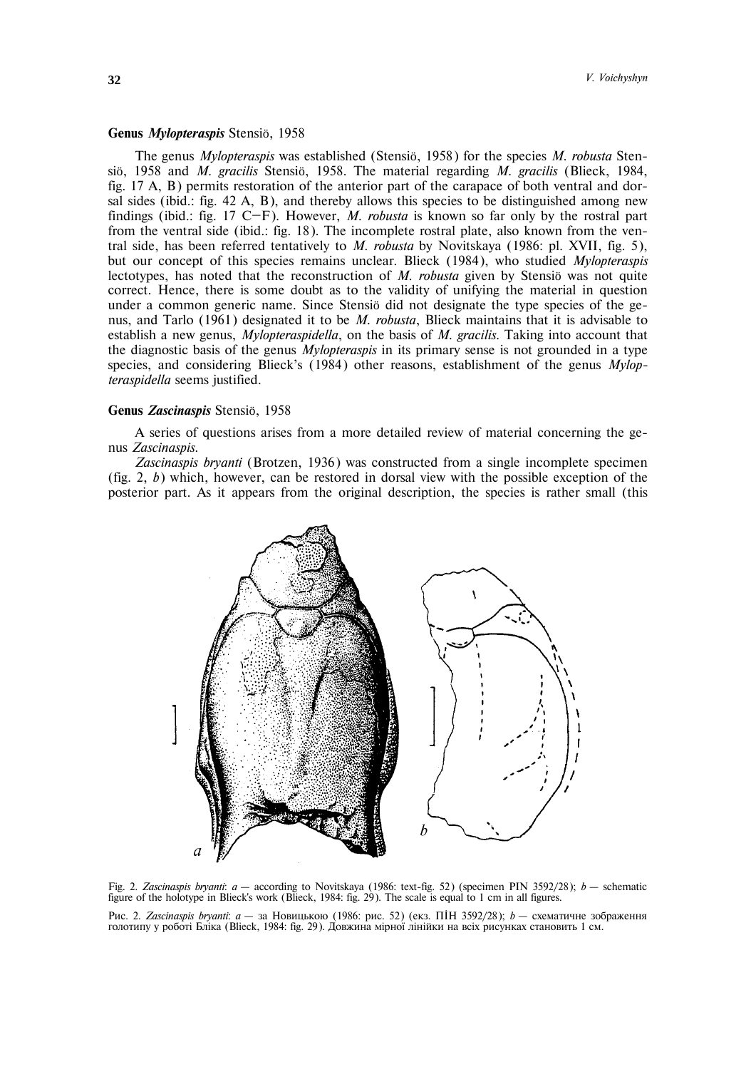## **Genus** *Mylopteraspis* Stensiö, 1958

The genus *Mylopteraspis* was established (Stensiö, 1958) for the species *M. robusta* Stensiö, 1958 and *M. gracilis* Stensiö, 1958. The material regarding *M. gracilis* (Blieck, 1984, fig. 17 A, B) permits restoration of the anterior part of the carapace of both ventral and dorsal sides (ibid.: fig. 42 A, B), and thereby allows this species to be distinguished among new findings (ibid.: fig. 17 C—F). However, *M. robusta* is known so far only by the rostral part from the ventral side (ibid.: fig. 18). The incomplete rostral plate, also known from the ventral side, has been referred tentatively to *M. robusta* by Novitskaya (1986: pl. XVII, fig. 5), but our concept of this species remains unclear. Blieck (1984), who studied *Mylopteraspis* lectotypes, has noted that the reconstruction of *M. robusta* given by Stensiö was not quite correct. Hence, there is some doubt as to the validity of unifying the material in question under a common generic name. Since Stensiö did not designate the type species of the genus, and Tarlo (1961) designated it to be *M. robusta*, Blieck maintains that it is advisable to establish a new genus, *Mylopteraspidella*, on the basis of *M. gracilis*. Taking into account that the diagnostic basis of the genus *Mylopteraspis* in its primary sense is not grounded in a type species, and considering Blieck's (1984) other reasons, establishment of the genus *Mylopteraspidella* seems justified.

## **Genus** *Zascinaspis* Stensiö, 1958

A series of questions arises from a more detailed review of material concerning the genus *Zascinaspis*.

*Zascinaspis bryanti* (Brotzen, 1936) was constructed from a single incomplete specimen (fig. 2, *b*) which, however, can be restored in dorsal view with the possible exception of the posterior part. As it appears from the original description, the species is rather small (this



Fig. 2. *Zascinaspis bryanti*: *a* – according to Novitskaya (1986: text-fig. 52) (specimen PIN 3592/28); *b* – schematic figure of the holotype in Blieck's work (Blieck, 1984: fig. 29). The scale is equal to 1 cm in all figures.

Рис. 2. *Zascinaspis bryanti: а* — за Новицькою (1986: рис. 52) (екз. ПІН 3592/28); *b* — схематичне зображення голотипу у роботі Бліка (Blieck, 1984: fig. 29). Довжина мірної лінійки на всіх рисунках становить 1 см.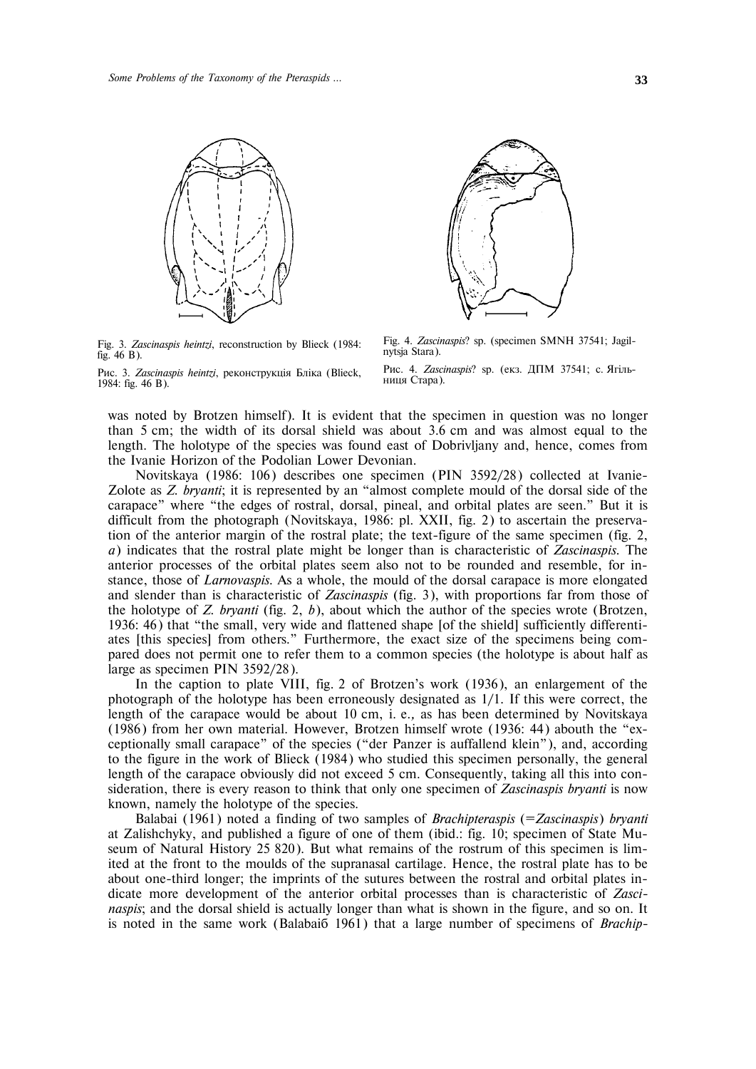

Fig. 3. *Zascinaspis heintzi*, reconstruction by Blieck (1984: fig. 46 B).

Рис. 3. Zascinaspis heintzi, реконструкція Бліка (Blieck, 1984: fig. 46 B).



Fig. 4. *Zascinaspis*? sp. (specimen SMNH 37541; Jagilnytsja Stara).

Рис. 4. *Zascinaspis*? sp. (екз. ДПМ 37541; с. Ягільниця Стара).

was noted by Brotzen himself). It is evident that the specimen in question was no longer than 5 cm; the width of its dorsal shield was about 3.6 cm and was almost equal to the length. The holotype of the species was found east of Dobrivljany and, hence, comes from the Ivanie Horizon of the Podolian Lower Devonian.

Novitskaya (1986: 106) describes one specimen (PIN 3592/28) collected at Ivanie-Zolote as *Z. bryanti*; it is represented by an "almost complete mould of the dorsal side of the carapace" where "the edges of rostral, dorsal, pineal, and orbital plates are seen." But it is difficult from the photograph (Novitskaya, 1986: pl. XXII, fig. 2) to ascertain the preservation of the anterior margin of the rostral plate; the text-figure of the same specimen (fig. 2, *a*) indicates that the rostral plate might be longer than is characteristic of *Zascinaspis*. The anterior processes of the orbital plates seem also not to be rounded and resemble, for instance, those of *Larnovaspis*. As a whole, the mould of the dorsal carapace is more elongated and slender than is characteristic of *Zascinaspis* (fig. 3), with proportions far from those of the holotype of *Z. bryanti* (fig. 2, *b*), about which the author of the species wrote (Brotzen, 1936: 46) that "the small, very wide and flattened shape [of the shield] sufficiently differentiates [this species] from others." Furthermore, the exact size of the specimens being compared does not permit one to refer them to a common species (the holotype is about half as large as specimen PIN 3592/28).

In the caption to plate VIII, fig. 2 of Brotzen's work (1936), an enlargement of the photograph of the holotype has been erroneously designated as 1/1. If this were correct, the length of the carapace would be about 10 cm, i. e.*,* as has been determined by Novitskaya (1986) from her own material. However, Brotzen himself wrote (1936: 44) abouth the "exceptionally small carapace" of the species ("der Panzer is auffallend klein"), and, according to the figure in the work of Blieck (1984) who studied this specimen personally, the general length of the carapace obviously did not exceed 5 cm. Consequently, taking all this into consideration, there is every reason to think that only one specimen of *Zascinaspis bryanti* is now known, namely the holotype of the species.

Balabai (1961) noted a finding of two samples of *Brachipteraspis* (=*Zascinaspis*) *bryanti* at Zalishchyky, and published a figure of one of them (ibid.: fig. 10; specimen of State Museum of Natural History 25 820). But what remains of the rostrum of this specimen is limited at the front to the moulds of the supranasal cartilage. Hence, the rostral plate has to be about one-third longer; the imprints of the sutures between the rostral and orbital plates indicate more development of the anterior orbital processes than is characteristic of *Zascinaspis*; and the dorsal shield is actually longer than what is shown in the figure, and so on. It is noted in the same work (Balabaiá 1961) that a large number of specimens of *Brachip-*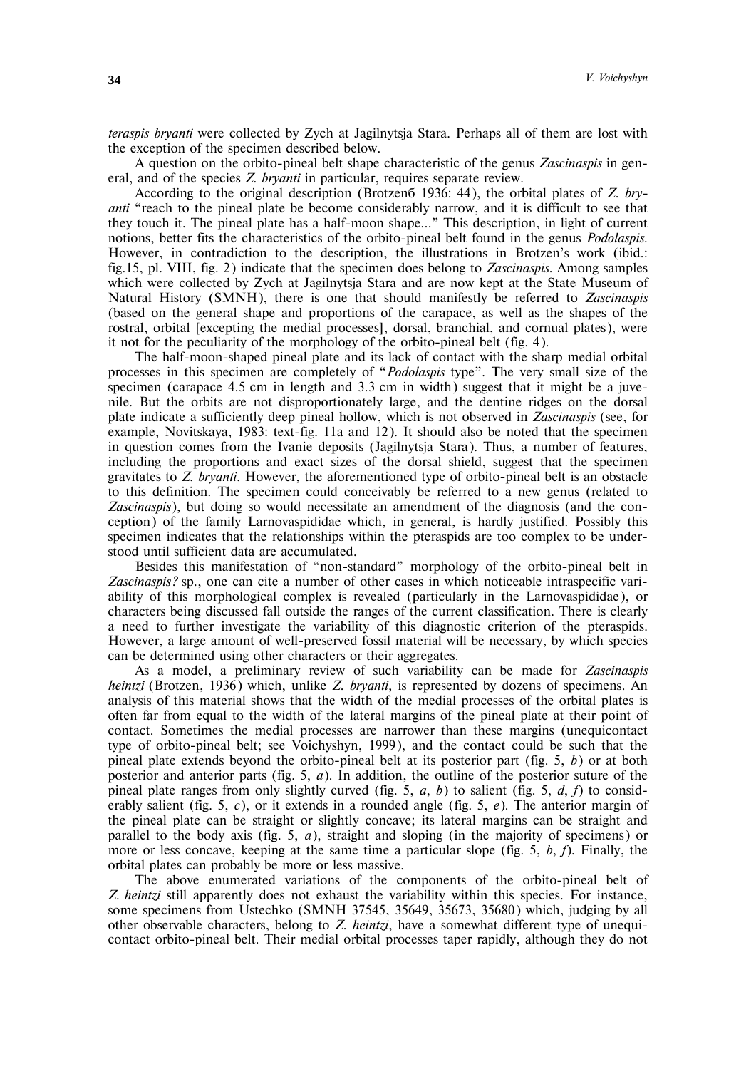*teraspis bryanti* were collected by Zych at Jagilnytsja Stara. Perhaps all of them are lost with the exception of the specimen described below.

A question on the orbito-pineal belt shape characteristic of the genus *Zascinaspis* in general, and of the species *Z. bryanti* in particular, requires separate review.

According to the original description (Brotzená 1936: 44), the orbital plates of *Z. bryanti* "reach to the pineal plate be become considerably narrow, and it is difficult to see that they touch it. The pineal plate has a half-moon shape…" This description, in light of current notions, better fits the characteristics of the orbito-pineal belt found in the genus *Podolaspis*. However, in contradiction to the description, the illustrations in Brotzen's work (ibid.: fig.15, pl. VIII, fig. 2) indicate that the specimen does belong to *Zascinaspis*. Among samples which were collected by Zych at Jagilnytsja Stara and are now kept at the State Museum of Natural History (SMNH), there is one that should manifestly be referred to *Zascinaspis* (based on the general shape and proportions of the carapace, as well as the shapes of the rostral, orbital [excepting the medial processes], dorsal, branchial, and cornual plates), were it not for the peculiarity of the morphology of the orbito-pineal belt (fig. 4).

The half-moon-shaped pineal plate and its lack of contact with the sharp medial orbital processes in this specimen are completely of "*Podolaspis* type". The very small size of the specimen (carapace 4.5 cm in length and 3.3 cm in width) suggest that it might be a juvenile. But the orbits are not disproportionately large, and the dentine ridges on the dorsal plate indicate a sufficiently deep pineal hollow, which is not observed in *Zascinaspis* (see, for example, Novitskaya, 1983: text-fig. 11a and 12). It should also be noted that the specimen in question comes from the Ivanie deposits (Jagilnytsja Stara). Thus, a number of features, including the proportions and exact sizes of the dorsal shield, suggest that the specimen gravitates to *Z. bryanti*. However, the aforementioned type of orbito-pineal belt is an obstacle to this definition. The specimen could conceivably be referred to a new genus (related to *Zascinaspis*), but doing so would necessitate an amendment of the diagnosis (and the conception) of the family Larnovaspididae which, in general, is hardly justified. Possibly this specimen indicates that the relationships within the pteraspids are too complex to be understood until sufficient data are accumulated.

Besides this manifestation of "non-standard" morphology of the orbito-pineal belt in *Zascinaspis?* sp., one can cite a number of other cases in which noticeable intraspecific variability of this morphological complex is revealed (particularly in the Larnovaspididae), or characters being discussed fall outside the ranges of the current classification. There is clearly a need to further investigate the variability of this diagnostic criterion of the pteraspids. However, a large amount of well-preserved fossil material will be necessary, by which species can be determined using other characters or their aggregates.

As a model, a preliminary review of such variability can be made for *Zascinaspis heintzi* (Brotzen, 1936) which, unlike *Z. bryanti*, is represented by dozens of specimens. An analysis of this material shows that the width of the medial processes of the orbital plates is often far from equal to the width of the lateral margins of the pineal plate at their point of contact. Sometimes the medial processes are narrower than these margins (unequicontact type of orbito-pineal belt; see Voichyshyn, 1999), and the contact could be such that the pineal plate extends beyond the orbito-pineal belt at its posterior part (fig. 5, *b*) or at both posterior and anterior parts (fig. 5, *a*). In addition, the outline of the posterior suture of the pineal plate ranges from only slightly curved (fig. 5, *a*, *b*) to salient (fig. 5, *d*, *f*) to considerably salient (fig. 5, *c*), or it extends in a rounded angle (fig. 5, *e*). The anterior margin of the pineal plate can be straight or slightly concave; its lateral margins can be straight and parallel to the body axis (fig. 5, *a*), straight and sloping (in the majority of specimens) or more or less concave, keeping at the same time a particular slope (fig. 5, *b*, *f*). Finally, the orbital plates can probably be more or less massive.

The above enumerated variations of the components of the orbito-pineal belt of *Z. heintzi* still apparently does not exhaust the variability within this species. For instance, some specimens from Ustechko (SMNH 37545, 35649, 35673, 35680) which, judging by all other observable characters, belong to *Z. heintzi*, have a somewhat different type of unequicontact orbito-pineal belt. Their medial orbital processes taper rapidly, although they do not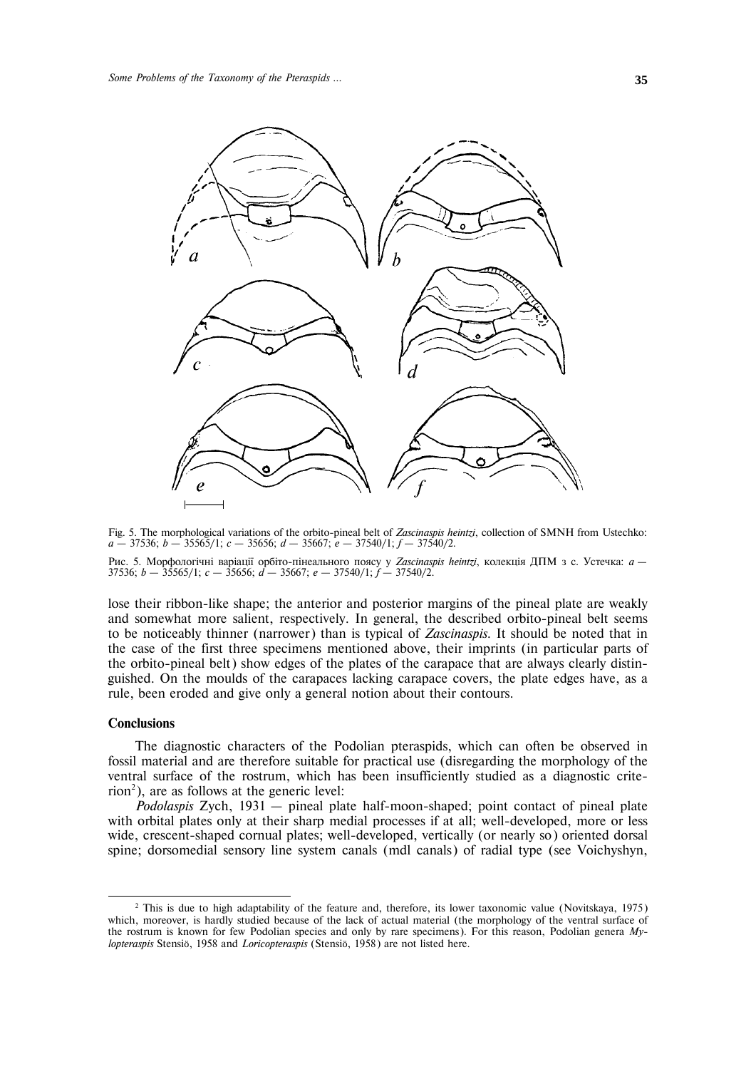

Fig. 5. The morphological variations of the orbito-pineal belt of *Zascinaspis heintzi*, collection of SMNH from Ustechko: *a* – 37536; *b* – 35565/1; *c* – 35656; *d* – 35667; *e* – 37540/1; *f* – 37540/2. Рис. 5. Морфологічні варіації орбіто-пінеального поясу у Zascinaspis heintzi, колекція ДПМ з с. Устечка: *а* – 37536; *b* – 35565/1; *c* – 35656; *d* – 35667; *e* – 37540/1; *f* – 37540/2.

lose their ribbon-like shape; the anterior and posterior margins of the pineal plate are weakly and somewhat more salient, respectively. In general, the described orbito-pineal belt seems to be noticeably thinner (narrower) than is typical of *Zascinaspis*. It should be noted that in the case of the first three specimens mentioned above, their imprints (in particular parts of the orbito-pineal belt) show edges of the plates of the carapace that are always clearly distinguished. On the moulds of the carapaces lacking carapace covers, the plate edges have, as a rule, been eroded and give only a general notion about their contours.

### **Conclusions**

1

The diagnostic characters of the Podolian pteraspids, which can often be observed in fossil material and are therefore suitable for practical use (disregarding the morphology of the ventral surface of the rostrum, which has been insufficiently studied as a diagnostic criterion<sup>2</sup>), are as follows at the generic level:

*Podolaspis* Zych, 1931 – pineal plate half-moon-shaped; point contact of pineal plate with orbital plates only at their sharp medial processes if at all; well-developed, more or less wide, crescent-shaped cornual plates; well-developed, vertically (or nearly so) oriented dorsal spine; dorsomedial sensory line system canals (mdl canals) of radial type (see Voichyshyn,

<sup>&</sup>lt;sup>2</sup> This is due to high adaptability of the feature and, therefore, its lower taxonomic value (Novitskaya, 1975) which, moreover, is hardly studied because of the lack of actual material (the morphology of the ventral surface of the rostrum is known for few Podolian species and only by rare specimens). For this reason, Podolian genera *Mylopteraspis* Stensiö, 1958 and *Loricopteraspis* (Stensiö, 1958) are not listed here.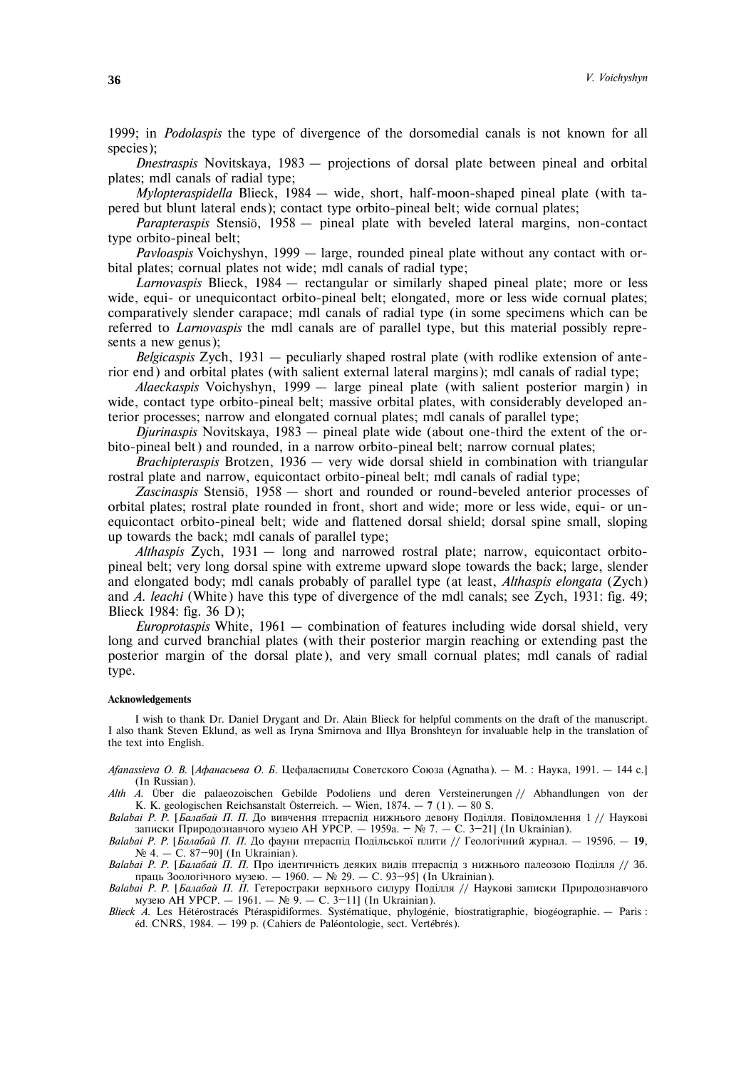1999; in *Podolaspis* the type of divergence of the dorsomedial canals is not known for all species);

*Dnestraspis* Novitskaya, 1983 – projections of dorsal plate between pineal and orbital plates; mdl canals of radial type;

*Mylopteraspidella* Blieck, 1984 – wide, short, half-moon-shaped pineal plate (with tapered but blunt lateral ends); contact type orbito-pineal belt; wide cornual plates;

*Parapteraspis* Stensiö, 1958 – pineal plate with beveled lateral margins, non-contact type orbito-pineal belt;

*Pavloaspis* Voichyshyn, 1999 – large, rounded pineal plate without any contact with orbital plates; cornual plates not wide; mdl canals of radial type;

*Larnovaspis* Blieck, 1984 – rectangular or similarly shaped pineal plate; more or less wide, equi- or unequicontact orbito-pineal belt; elongated, more or less wide cornual plates; comparatively slender carapace; mdl canals of radial type (in some specimens which can be referred to *Larnovaspis* the mdl canals are of parallel type, but this material possibly represents a new genus);

*Belgicaspis* Zych, 1931 – peculiarly shaped rostral plate (with rodlike extension of anterior end) and orbital plates (with salient external lateral margins); mdl canals of radial type;

*Alaeckaspis* Voichyshyn, 1999 – large pineal plate (with salient posterior margin) in wide, contact type orbito-pineal belt; massive orbital plates, with considerably developed anterior processes; narrow and elongated cornual plates; mdl canals of parallel type;

*Djurinaspis* Novitskaya, 1983 – pineal plate wide (about one-third the extent of the orbito-pineal belt) and rounded, in a narrow orbito-pineal belt; narrow cornual plates;

*Brachipteraspis* Brotzen, 1936 – very wide dorsal shield in combination with triangular rostral plate and narrow, equicontact orbito-pineal belt; mdl canals of radial type;

*Zascinaspis* Stensiö, 1958 – short and rounded or round-beveled anterior processes of orbital plates; rostral plate rounded in front, short and wide; more or less wide, equi- or unequicontact orbito-pineal belt; wide and flattened dorsal shield; dorsal spine small, sloping up towards the back; mdl canals of parallel type;

*Althaspis* Zych, 1931 – long and narrowed rostral plate; narrow, equicontact orbitopineal belt; very long dorsal spine with extreme upward slope towards the back; large, slender and elongated body; mdl canals probably of parallel type (at least, *Althaspis elongata* (Zych) and *A. leachi* (White) have this type of divergence of the mdl canals; see Zych, 1931: fig. 49; Blieck 1984: fig. 36 D);

*Europrotaspis* White, 1961 – combination of features including wide dorsal shield, very long and curved branchial plates (with their posterior margin reaching or extending past the posterior margin of the dorsal plate), and very small cornual plates; mdl canals of radial type.

## **Acknowledgements**

I wish to thank Dr. Daniel Drygant and Dr. Alain Blieck for helpful comments on the draft of the manuscript. I also thank Steven Eklund, as well as Iryna Smirnova and Illya Bronshteyn for invaluable help in the translation of the text into English.

*Afanassieva O. В. [Афанасьева О. Б.* Цефаласпиды Советского Союза (Agnatha). — М. : Наука, 1991. — 144 с.] (In Russian).

*Alth A*. Über die palaeozoischen Gebilde Podoliens und deren Versteinerungen // Abhandlungen von der K. K. geologischen Reichsanstalt Österreich. – Wien, 1874. – **7** (1). – 80 S.

*Balabai Р. Р. [Балабай П. П. Д*о вивчення птераспід нижнього девону Поділля. Повідомлення 1 // Наукові записки Природознавчого музею АН УРСР. — 1959а. – № 7. — С. 3-21] (In Ukrainian).

*Balabai P. P.* [*Балабай П. П.* До фауни птераспід Подільської плити // Геологічний журнал. — 1959б. — 19,  $N_2$  4. – C. 87–90] (In Ukrainian).

*Balabai P. P.* [*Балабай П. П.* Про ідентичність деяких видів птераспід з нижнього палеозою Поділля // Зб. праць Зоологічного музею. – 1960. – № 29. – С. 93-95] (In Ukrainian).

*Balabai P. P.* [*Балабай П. П.* Гетеростраки верхнього силуру Поділля // Наукові записки Природознавчого музею АН УРСР. − 1961. – № 9. – С. 3-11] (In Ukrainian).

*Blieck A*. Les Hétérostracés Ptéraspidiformes. Systématique, phylogénie, biostratigraphie, biogéographie. – Paris : éd. CNRS, 1984. – 199 p. (Cahiers de Paléontologie, sect. Vertébrés).